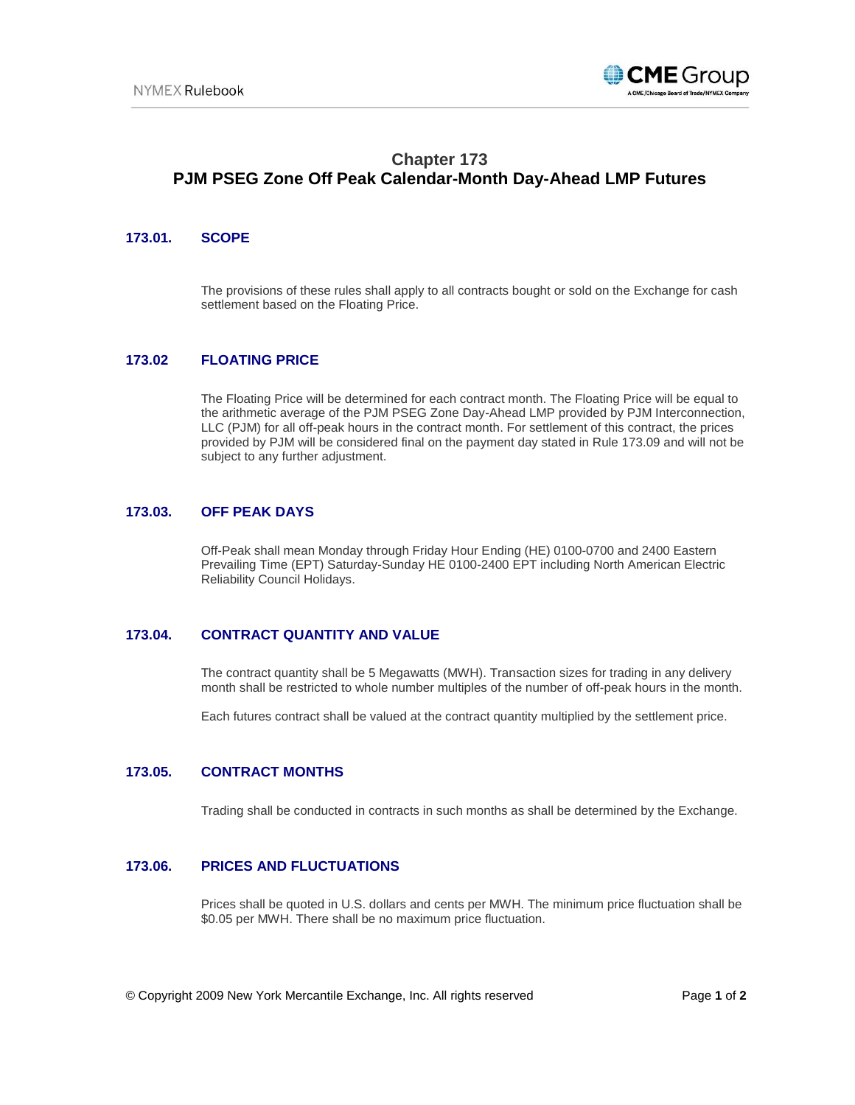

# **Chapter 173 PJM PSEG Zone Off Peak Calendar-Month Day-Ahead LMP Futures**

## **173.01. SCOPE**

The provisions of these rules shall apply to all contracts bought or sold on the Exchange for cash settlement based on the Floating Price.

## **173.02 FLOATING PRICE**

The Floating Price will be determined for each contract month. The Floating Price will be equal to the arithmetic average of the PJM PSEG Zone Day-Ahead LMP provided by PJM Interconnection, LLC (PJM) for all off-peak hours in the contract month. For settlement of this contract, the prices provided by PJM will be considered final on the payment day stated in Rule 173.09 and will not be subject to any further adjustment.

#### **173.03. OFF PEAK DAYS**

Off-Peak shall mean Monday through Friday Hour Ending (HE) 0100-0700 and 2400 Eastern Prevailing Time (EPT) Saturday-Sunday HE 0100-2400 EPT including North American Electric Reliability Council Holidays.

## **173.04. CONTRACT QUANTITY AND VALUE**

The contract quantity shall be 5 Megawatts (MWH). Transaction sizes for trading in any delivery month shall be restricted to whole number multiples of the number of off-peak hours in the month.

Each futures contract shall be valued at the contract quantity multiplied by the settlement price.

#### **173.05. CONTRACT MONTHS**

Trading shall be conducted in contracts in such months as shall be determined by the Exchange.

#### **173.06. PRICES AND FLUCTUATIONS**

Prices shall be quoted in U.S. dollars and cents per MWH. The minimum price fluctuation shall be \$0.05 per MWH. There shall be no maximum price fluctuation.